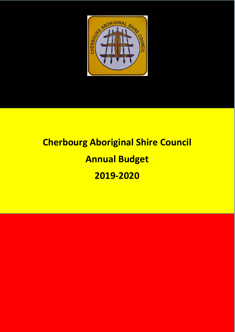

# **Cherbourg Aboriginal Shire Council Annual Budget 2019-2020**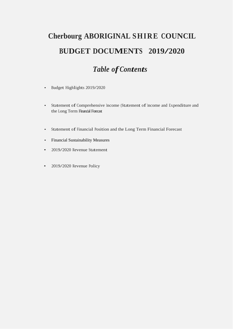# **Cherbourg ABORIGINAL SHIRE COUNCIL BUDGET DOCUMENTS 2019/2020**

# *Table ofContents*

- Budget Highlights 2019/2020
- Statement of Comprehensive Income (Statement of Income and Expenditure and the Long Term Financial Forecast
- Statement of Financial Position and the Long Term Financial Forecast
- Financial Sustainability Measures
- 2019/2020 Revenue Statement
- 2019/2020 Revenue Policy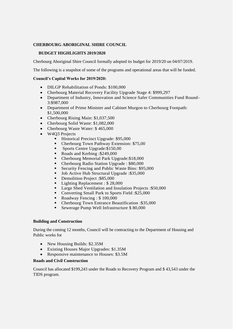#### **CHERBOURG ABORIGINAL SHIRE COUNCIL**

#### **BUDGET HIGHLIGHTS 2019/2020**

Cherbourg Aboriginal Shire Council formally adopted its budget for 2019/20 on 04/07/2019.

The following is a snapshot of some of the programs and operational areas that will be funded.

#### **Council's Capital Works for 2019/2020:**

- DILGP Rehabilitation of Ponds: \$100,000
- Cherbourg Material Recovery Facility Upgrade Stage 4: \$999,297
- Department of Industry, Innovation and Science Safer Communities Fund Round-3:\$987,000
- Department of Prime Minister and Cabinet Murgon to Cherbourg Footpath: \$1,500,000
- Cherbourg Rising Main: \$1,037,500
- Cherbourg Solid Waste: \$1,082,000
- Cherbourg Waste Water: \$465,000
- W4O3 Projects
	- Historical Precinct Upgrade: \$95,000
	- Cherbourg Town Pathway Extension: \$75,00
	- **Sports Centre Upgrade: \$150,00**
	- Roads and Kerbing :\$249,000
	- Cherbourg Memorial Park Upgrade:\$18,000
	- Cherbourg Radio Station Upgrade : \$80,000
	- Security Fencing and Public Waste Bins: \$95,000
	- Job Active Hub Structural Upgrade :\$35,000
	- Demolition Project : \$85,000
	- Lighting Replacement : \$28,000
	- **Large Shed Ventilation and Insulation Projects : \$50,000**
	- Converting Small Park to Sports Field :\$25,000
	- Roadway Fencing : \$100,000
	- Cherbourg Town Entrance Beautification :\$35,000
	- Sewerage Pump Well Infrastructure \$80,000

#### **Building and Construction**

During the coming 12 months, Council will be contracting to the Department of Housing and Public works for

- New Housing Builds: \$2.35M
- Existing Houses Major Upgrades: \$1.35M
- Responsive maintenance to Houses: \$3.5M

#### **Roads and Civil Construction**

Council has allocated \$199,243 under the Roads to Recovery Program and \$ 43,543 under the TIDS program.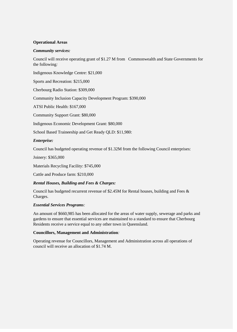#### **Operational Areas**

#### *Community services:*

Council will receive operating grant of \$1.27 M from Commonwealth and State Governments for the following*:*

Indigenous Knowledge Centre: \$21,000

Sports and Recreation: \$215,000

Cherbourg Radio Station: \$309,000

Community Inclusion Capacity Development Program: \$390,000

ATSI Public Health: \$167,000

Community Support Grant: \$80,000

Indigenous Economic Development Grant: \$80,000

School Based Traineeship and Get Ready QLD: \$11,980:

#### *Enterprise:*

Council has budgeted operating revenue of \$1.32M from the following Council enterprises:

Joinery: \$365,000

Materials Recycling Facility: \$745,000

Cattle and Produce farm: \$210,000

#### *Rental Houses, Building and Fees & Charges:*

Council has budgeted recurrent revenue of \$2.45M for Rental houses, building and Fees  $\&$ Charges.

#### *Essential Services Programs:*

An amount of \$660,985 has been allocated for the areas of water supply, sewerage and parks and gardens to ensure that essential services are maintained to a standard to ensure that Cherbourg Residents receive a service equal to any other town in Queensland*.*

#### **Councillors, Management and Administration***:*

Operating revenue for Councillors, Management and Administration across all operations of council will receive an allocation of \$1.74 M.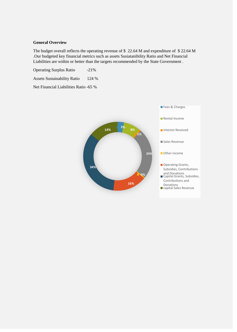#### **General Overview**

The budget overall reflects the operating revenue of \$ 22.64 M and expenditure of \$ 22.64 M .Our budgeted key financial metrics such as assets Susiatanibility Ratio and Net Financial Liabilities are within or better than the targets recommended by the State Government .

Operating Surplus Ratio -21%

Assets Sustainability Ratio 124 %

Net Financial Liabilities Ratio -65 %

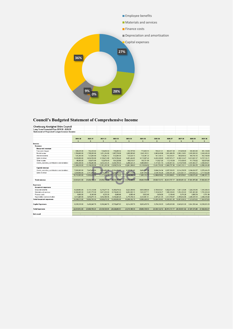

# **Council's Budgeted Statement of Comprehensive Income**

| Cherbourg Aboriginal Shire Council                 |               |               |               |                             |               |               |               |                                                         |               |               |               |
|----------------------------------------------------|---------------|---------------|---------------|-----------------------------|---------------|---------------|---------------|---------------------------------------------------------|---------------|---------------|---------------|
| Long Term Financial Plan 2019/20 -2028/29          |               |               |               |                             |               |               |               |                                                         |               |               |               |
| <b>Statement of Projected Comprehensive Income</b> |               |               |               |                             |               |               |               |                                                         |               |               |               |
|                                                    |               |               |               |                             |               |               |               |                                                         |               |               |               |
|                                                    |               |               |               |                             |               |               |               |                                                         |               |               |               |
|                                                    | 2019-20       | 2020-21       | 2021-22       | 2022-23                     | 2023-24       | 2024-25       | 2025-26       | 2026-27                                                 | 2027-28       | 2028-29       | 2029-30       |
|                                                    | $\mathbf{f}$  |               |               | \$                          | \$            | \$            | \$            |                                                         | $\hat{z}$     | \$            | \$            |
| Income                                             |               |               |               |                             |               |               |               |                                                         |               |               |               |
| Revenue                                            |               |               |               |                             |               |               |               |                                                         |               |               |               |
| <b>Recurrent revenue</b>                           |               |               |               |                             |               |               |               |                                                         |               |               |               |
| Fees and charges                                   | 698,231.00    | 712,195.62    | 726,439.53    | 740,968.32                  | 755,787.69    | 770,903.44    | 786,321.51    | 802,047.94                                              | 818,088.90    | 834,450.68    | 851,139.69    |
| Rental income                                      | 1,760,000.00  | 1,795,200.00  | 1,831,104.00  | 1,867,726.08                | 1,905,080.60  | 1,943,182.21  | 1,982,045.86  | 2,021,686.78                                            | 2,062,120.51  | 2,103,362.92  | 2,145,430.18  |
| Interest received                                  | 125,300.00    | 127,806.00    | 130,362.12    | 132,969.36                  | 135,628.75    | 138,341.32    | 141,108.15    | 143,930.31                                              | 146,808.92    | 149,745.10    | 152,740.00    |
| Sales revenue                                      | 5,535,000.00  | 5,645,700.00  | 5.758.614.00  | 5,873,786.28                | 5.991.262.01  | 6.111.087.25  | 6.233.308.99  | 6.357.975.17                                            | 6,485,134.67  | 6.614.837.37  | 6,747,134.11  |
| Other income                                       | 98,500.00     | 100,470.00    | 102,479.40    | 104,528.99                  | 106,619.57    | 108,751.96    | 110,927.00    | 113.145.54                                              | 115,408.45    | 117,716.62    | 120,070.95    |
| Grants, subsidies, contributions and donations     | 3,683,298.00  | 3,756,963.96  | 3,832,103.24  | 3,908,745.30                | 3,986,920.21  | 4,066,658.61  | 4,147,991.79  | 4,230,951.62                                            | 4,315,570.65  | 4,401,882.07  | 4,489,919.71  |
|                                                    | 11.900.329.00 | 12,138,335.58 | 12.381.102.29 | 12.628.724.34               | 12.881.298.82 | 13,138,924.80 | 13,401,703.30 | 13,669,737.36                                           | 13,943,132.11 | 14.221.994.75 | 14,506,434.65 |
| <b>Capital revenue</b>                             |               |               |               |                             |               |               |               |                                                         |               |               |               |
| Grants, subsidies, contributions and donations     | 7,693,583.00  | 7,847,454.66  | 8 004 403 75  | 8,164,491.83                | 8,327,781.66  | 8,494,337.30  | 8,664,224.04  | 8,837,508.52                                            | 9,014,258.70  | 9,194,543.87  | 9,378,434.75  |
| Sales revenue                                      | 3,050,000.00  | 3,111,000,00  | 3,173,220.00  | 3,236,684.40                | 3,301,418.09  | 3,367,446.45  | 3,434,795.38  | 3,503,491.29                                            | 3,573,561.11  | 3,645,032.33  | 3,717,932.98  |
|                                                    | 10,743,583.00 | 10,958,454.66 | 11,177,623.75 | 11,401,176.23               | 11,629,199.75 | 11,861,783.75 | 12,099,019.42 | 12,340,999.81                                           | 12,587,819.81 | 12,839,576.20 | 13,096,367.73 |
|                                                    |               |               |               |                             |               |               |               |                                                         |               |               |               |
| <b>Total revenue</b>                               | 22,643,912.00 | 23,096,790,24 |               | 23,558,726.04 24,029,900.57 | 24,510,498.58 | 25,000,708.55 | 25.500,722.72 | 26,010,737.17                                           | 26,530,951.92 | 27.061.570.96 | 27,602,802.37 |
|                                                    |               |               |               |                             |               |               |               |                                                         |               |               |               |
| Expenses                                           |               |               |               |                             |               |               |               |                                                         |               |               |               |
| <b>Recurrent expenses</b>                          |               |               |               |                             |               |               |               |                                                         |               |               |               |
| Employee benefits                                  | 6,026,603.00  | 6.147.135.06  | 6.270.077.76  | 6,395,479.32                | 6,523,388.90  | 6,653,856.68  | 6,786,933.81  | 6,922,672.49                                            | 7,061,125.94  | 7,202,348.46  | 7,346,395.43  |
| Materials and services                             | 6,360,565.00  | 6,487,776.30  | 6,617,531.83  | 6,749,882.46                | 6,884,880.11  | 7,022,577.71  | 7,163,029.27  | 7.306.289.85                                            | 7.452.415.65  | 7,601,463.96  | 7,753,493.24  |
| Finance costs                                      | 8,000.00      | 8,160.00      | 8,323.20      | 8,489.66                    | 8,659.46      | 8,832.65      | 9,009.30      | 9,189.49                                                | 9,373.28      | 9,560.74      | 9,751.96      |
| Depreciation and amortisation                      | 2,013,405.00  | 2,053,673.10  | 2,094,746.56  | 2,136,641.49                | 2,179,374.32  | 2,222,961.81  | 2,267,421.05  | 2,312,769.47                                            | 2,359,024.86  | 2,406,205.35  | 2,454,329.46  |
| <b>Total Recurrent expenses</b>                    | 14.408.573.00 | 14.696.744.46 | 14.990.679.35 | 15.290.492.94               | 15.596.302.79 | 15.908.228.85 | 16,226,393.43 | 16.550.921.30                                           | 16.881.939.72 | 17,219,578.52 | 17,563,970.09 |
|                                                    |               |               |               |                             |               |               |               |                                                         |               |               |               |
| <b>Capital Expenses</b>                            | 8.235.339.00  | 8,400,045.78  | 8.568,046.70  | 8,739,407.63                | 8,914,195.78  | 9.092.479.70  | 9.274.329.29  | 9,459,815.88                                            | 9,649,012.20  | 9,841,992.44  | 10.038.832.29 |
|                                                    |               |               |               |                             |               |               |               |                                                         |               |               |               |
| <b>Total Expenses</b>                              | 22,643,912.00 | 23,096,790.24 | 23,558,726.04 | 24,029,900.57               | 24,510,498.58 | 25,000,708.55 |               | 25,500,722.72 26,010,737.17 26,530,951.92 27,061,570.96 |               |               | 27,602,802.37 |
|                                                    |               |               |               |                             |               |               |               |                                                         |               |               |               |
| Net result                                         |               | ٠             |               |                             |               |               |               |                                                         |               |               |               |
|                                                    |               |               |               |                             |               |               |               |                                                         |               |               |               |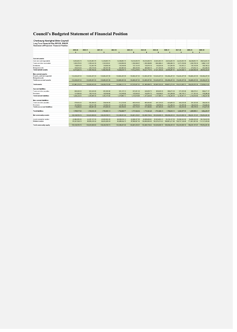## **Council's Budgeted Statement of Financial Position**

| Cherbourg Aboriginal Shire Council                        |                                |                                |                                |                                |                                |                                                                                                          |                                 |                                 |                                 |                                 |                                 |
|-----------------------------------------------------------|--------------------------------|--------------------------------|--------------------------------|--------------------------------|--------------------------------|----------------------------------------------------------------------------------------------------------|---------------------------------|---------------------------------|---------------------------------|---------------------------------|---------------------------------|
| Long Term Financial Plan 2019/20 -2028/29                 |                                |                                |                                |                                |                                |                                                                                                          |                                 |                                 |                                 |                                 |                                 |
| <b>Statement of Projected Financial Position</b>          |                                |                                |                                |                                |                                |                                                                                                          |                                 |                                 |                                 |                                 |                                 |
|                                                           |                                |                                |                                |                                |                                |                                                                                                          |                                 |                                 |                                 |                                 |                                 |
|                                                           | 2019-20                        | 2020-21                        | 2021-22                        | 2022-23                        | 2023-24                        | 2024-25                                                                                                  | 2025-26                         | 2026-27                         | 2027-28                         | 2028-29                         | 2029-30                         |
|                                                           | \$                             |                                |                                | Æ                              |                                |                                                                                                          |                                 |                                 | $\mathbf{f}$                    |                                 |                                 |
|                                                           |                                |                                |                                |                                |                                |                                                                                                          |                                 |                                 |                                 |                                 |                                 |
| Current assets                                            |                                |                                |                                |                                |                                |                                                                                                          |                                 |                                 |                                 |                                 |                                 |
| Cash and cash equivalents                                 | 8,034,863.76                   | 10,034,863.76                  | 12,034,863.76                  | 14,034,863.76                  | 16,034,863.76                  | 18,034,863.76                                                                                            | 20,034,863.76                   | 22,034,863.76                   | 24,034,863.76                   | 26,034,863.76                   | 28,034,863.76                   |
| Trade and other receivables                               | 1,033,278.00                   | 1,038,444.39                   | 1,043,636.61                   | 1,048,854.80                   | 1,054,099.07                   | 1,059,369.56                                                                                             | 1.064,666.41                    | 1,069,989.74                    | 1,075,339.69                    | 1,080,716.39                    | 1,086,119.97                    |
| nventories                                                | 150,974.00                     | 152,483.74                     | 154,008.58                     | 155,548.66                     | 157,104.15                     | 158,675.19                                                                                               | 160,261.94                      | 161,864.56                      | 163,483.21                      | 165,118.04                      | 166,769.22                      |
| <b>Biological assets</b>                                  | 255,816.00                     | 258,374.16                     | 260,957.90                     | 263,567.48                     | 266,203.16                     | 268, 865.19                                                                                              | 271,553.84                      | 274.269.38                      | 277.012.07                      | 279.782.19                      | 282,580.01                      |
| <b>Total current assets</b>                               | 9,474,931.76                   | 11,484,166.05                  | 13,493,466.85                  | 15,502,834.70                  | 17,512,270.13                  | 19,521,773.70                                                                                            | 21,531,345.95                   | 23,540,987.44                   | 25,550,698.73                   | 27,560,480.38                   | 29,570,332.97                   |
| Non-current assets                                        |                                |                                |                                |                                |                                |                                                                                                          |                                 |                                 |                                 |                                 |                                 |
| Property, plant and equipment<br><b>Biological assets</b> | 122,466,287.00                 | 124,466,287.00                 | 126,466,287.00                 | 128,466,287.00                 | 130.466.287.00                 | 132,466,287.00                                                                                           | 134,466,287.00                  | 136,466,287.00                  | 138,466,287.00                  | 140,466,287.00                  | 142,466,287.00                  |
| Total non-current assets                                  | 122,466,287.00                 | 124,466,287.00                 | 126,466,287.00                 | 128,466,287.00                 | 130,466,287.00                 | 132,466,287.00                                                                                           | 134,466,287.00                  | 136,466,287.00                  | 138,466,287.00                  | 140,466,287.00                  | 142,466,287.00                  |
|                                                           |                                |                                |                                |                                |                                |                                                                                                          |                                 |                                 |                                 |                                 |                                 |
| Total assets                                              | 131,941,218.76                 | 135,950,453.05                 | 139,959,753.85                 | 143,969,121.70                 | 147,978,557.13                 |                                                                                                          | 151,988,060.70 155,997,632.95   |                                 | 160,007,274.44 164,016,985.73   | 168,026,767.38                  | 172,036,619.97                  |
| Current liabilities                                       |                                |                                |                                |                                |                                |                                                                                                          |                                 |                                 |                                 |                                 |                                 |
| Trade and other payables                                  | 895,048.00                     | 912,948.96                     | 913,306.98                     | 931,215.10                     | 931,931.28                     | 949, 853. 73                                                                                             | 950,928.36                      | 968,872.29                      | 970,305.80                      | 988,278.41                      | 990,071.37                      |
| Provisions                                                | 131,181,00                     | 135,116.43                     | 139,169.92                     | 143.345.02                     | 147,645.37                     | 152,074.73                                                                                               | 156,636.97                      | 161,336.08                      | 166,176.17                      | 171.161.45                      | 176,296.29                      |
| Total current liabilities                                 | 1,026,229.00                   | 1,048,065.39                   | 1,052,476.90                   | 1,074,560.12                   | 1.079,576.65                   | 1,101,928.46                                                                                             | 1,107,565.33                    | 1,130,208.38                    | 1,136,481.97                    | 1,159,439.86                    | 1,166,367.66                    |
| Non-current liabilities                                   |                                |                                |                                |                                |                                |                                                                                                          |                                 |                                 |                                 |                                 |                                 |
| Trade and other payables                                  | 578,182.00                     | 556,364.00                     | 534,546.00                     | 512,728.00                     | 490,910.00                     | 469,092.00                                                                                               | 447,274.00                      | 425,456.00                      | 403,638.00                      | 381,820.00                      | 360,002.00                      |
| Provisions                                                | 141,106.00                     | 142,517.06                     | 143,942.23                     | 145,381.65                     | 146,835.47                     | 148,303.82                                                                                               | 149,786.86                      | 151,284.73                      | 152,797.58                      | 154,325.55                      | 155,868.81                      |
| Total non-current liabilities                             | 719,288.00                     | 698,881.06                     | 678,488.23                     | 658,109.65                     | 637,745.47                     | 617,395.82                                                                                               | 597,060.86                      | 576,740.73                      | 556,435.58                      | 536,145.55                      | 515,870.81                      |
|                                                           |                                |                                |                                |                                |                                |                                                                                                          |                                 |                                 |                                 |                                 |                                 |
| <b>Total liabilities</b>                                  | 1,745,517.00                   | 1,746,946.45                   | 1,730,965.13                   | 1,732,669.77                   | 1,717,322.12                   | 1,719,324.28                                                                                             | 1,704,626.19                    | 1,706,949.11                    | 1,692,917.55                    | 1,695,585.41                    | 1,682,238.47                    |
| Net community assets                                      | 130,195,701.76                 | 134,203,506.60                 | 138,228,788.72                 | 142,236,451.93                 | 146, 261, 235.01               | 150,268,736.42                                                                                           | 154,293,006.76                  | 158,300,325.34                  | 162,324,068.19                  | 166,331,181.97                  | 170,354,381.49                  |
|                                                           |                                |                                |                                |                                |                                |                                                                                                          |                                 |                                 |                                 |                                 |                                 |
| Asset revaluation surplus<br>Retained surplus             | 42,964,581.58<br>87,231,120.18 | 44,287,157.18<br>89,916,349.42 | 45,615,500.28<br>92,613,288.44 | 46,938,029.14<br>95,298,422.79 | 48,266,207.55<br>97,995,027.46 | 49,588,683.02<br>100,680,053.40                                                                          | 50,916,692.23<br>103,376,314.53 | 52,239,107.36<br>106,061,217.98 | 53,566,942.50<br>108,757,125.68 | 54,889,290.05<br>111,441,891.92 | 56,216,945.89<br>114,137,435.60 |
|                                                           | 130 195 701 76                 | 134 203 506 60                 | 138 228 788 72                 | 142 236 451 93                 |                                | 146 261 235 01 150 268 736 42 154 293 006 76 156 300 325 34 162 324 068 19 166 331 181 97 170 354 381 49 |                                 |                                 |                                 |                                 |                                 |
| Total community equity                                    |                                |                                |                                |                                |                                |                                                                                                          |                                 |                                 |                                 |                                 |                                 |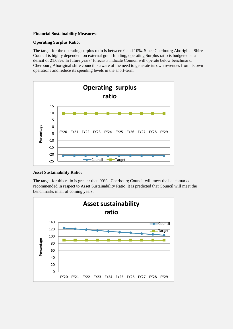#### **Financial Sustainability Measures**:

#### **Operating Surplus Ratio:**

The target for the operating surplus ratio is between 0 and 10%. Since Cherbourg Aboriginal Shire Council is highly dependent on external grant funding, operating Surplus ratio is budgeted at a deficit of 21.08%. In future years' forecasts indicate Council will operate below benchmark. Cherbourg Aboriginal shire council is aware of the need to generate its own revenues from its own operations and reduce its spending levels in the short-term.



#### **Asset Sustainability Ratio:**

The target for this ratio is greater than 90%. Cherbourg Council will meet the benchmarks recommended in respect to Asset Sustainability Ratio. It is predicted that Council will meet the benchmarks in all of coming years.

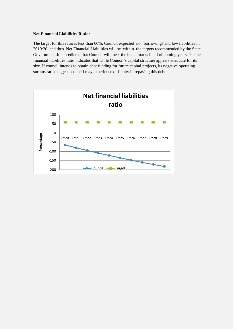#### **Net Financial Liabilities Ratio:**

The target for this ratio is less than 60%. Council expected no borrowings and low liabilities in 2019/20 and thus Net Financial Liabilities will be within the targets recommended by the State Government .It is predicted that Council will meet the benchmarks in all of coming years. The net financial liabilities ratio indicates that while Council's capital structure appears adequate for its size. If council intends to obtain debt funding for future capital projects, its negative operating surplus ratio suggests council may experience difficulty in repaying this debt.

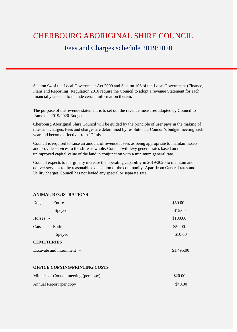# CHERBOURG ABORIGINAL SHIRE COUNCIL

# Fees and Charges schedule 2019/2020

Section 94 of the Local Government Act 2009 and Section 106 of the Local Government (Finance, Plans and Reporting) Regulation 2010 require the Council to adopt a revenue Statement for each financial years and to include certain information therein.

The purpose of the revenue statement is to set out the revenue measures adopted by Council to frame the 2019/2020 Budget.

Cherbourg Aboriginal Shire Council will be guided by the principle of user pays in the making of rates and charges. Fees and charges are determined by resolution at Council's budget meeting each year and become effective from  $1<sup>st</sup>$  July.

Council is required to raise an amount of revenue it sees as being appropriate to maintain assets and provide services to the shire as whole. Council will levy general rates based on the unimproved capital value of the land in conjunction with a minimum general rate.

Council expects to marginally increase the operating capability in 2019/2020 to maintain and deliver services to the reasonable expectation of the community. Apart from General rates and Utility charges Council has not levied any special or separate rate.

#### **ANIMAL REGISTRATIONS**

| Dogs   | - Entire                              | \$50.00    |
|--------|---------------------------------------|------------|
|        | Speyed                                | \$15.00    |
| Horses | $\sim$                                | \$100.00   |
| Cats   | - Entire                              | \$50.00    |
|        | Speyed                                | \$10.00    |
|        | <b>CEMETERIES</b>                     |            |
|        | Excavate and internment -             | \$1,495.00 |
|        | <b>OFFICE COPYING/PRINTING COSTS</b>  |            |
|        | Minutes of Council meeting (per copy) | \$20.00    |
|        | Annual Report (per copy)              | \$40.00    |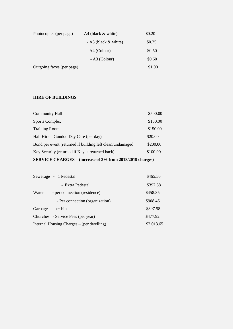| Photocopies (per page)    | - A4 (black $&$ white)   | \$0.20 |
|---------------------------|--------------------------|--------|
|                           | $- A3$ (black $&$ white) | \$0.25 |
|                           | $- A4 (Colour)$          | \$0.50 |
|                           | $- A3$ (Colour)          | \$0.60 |
| Outgoing faxes (per page) |                          | \$1.00 |

#### **HIRE OF BUILDINGS**

| SERVICE CHARGES – (increase of 3% from 2018/2019 charges) |          |  |  |  |
|-----------------------------------------------------------|----------|--|--|--|
| Key Security (returned if Key is returned back)           | \$100.00 |  |  |  |
| Bond per event (returned if building left clean/undamaged | \$200.00 |  |  |  |
| Hall Hire – Gundoo Day Care (per day)                     | \$20.00  |  |  |  |
| <b>Training Room</b>                                      | \$150.00 |  |  |  |
| <b>Sports Complex</b>                                     | \$150.00 |  |  |  |
| <b>Community Hall</b>                                     | \$500.00 |  |  |  |

|                   | Sewerage - 1 Pedestal                     | \$465.56   |
|-------------------|-------------------------------------------|------------|
|                   | - Extra Pedestal                          | \$397.58   |
| Water             | - per connection (residence)              | \$458.35   |
|                   | - Per connection (organization)           | \$908.46   |
| Garbage - per bin |                                           | \$397.58   |
|                   | Churches - Service Fees (per year)        | \$477.92   |
|                   | Internal Housing Charges – (per dwelling) | \$2,013.65 |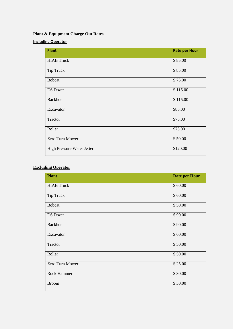# **Plant & Equipment Charge Out Rates**

## **Including Operator**

| <b>Plant</b>               | <b>Rate per Hour</b> |
|----------------------------|----------------------|
| <b>HIAB</b> Truck          | \$85.00              |
| <b>Tip Truck</b>           | \$85.00              |
| <b>Bobcat</b>              | \$75.00              |
| D6 Dozer                   | \$115.00             |
| <b>Backhoe</b>             | \$115.00             |
| Excavator                  | \$85.00              |
| Tractor                    | \$75.00              |
| Roller                     | \$75.00              |
| Zero Turn Mower            | \$50.00              |
| High Pressure Water Jetter | \$120.00             |

# **Excluding Operator**

| <b>Plant</b>       | <b>Rate per Hour</b> |
|--------------------|----------------------|
| <b>HIAB</b> Truck  | \$60.00              |
| Tip Truck          | \$60.00              |
| <b>Bobcat</b>      | \$50.00              |
| D6 Dozer           | \$90.00              |
| <b>Backhoe</b>     | \$90.00              |
| Excavator          | \$60.00              |
| Tractor            | \$50.00              |
| Roller             | \$50.00              |
| Zero Turn Mower    | \$25.00              |
| <b>Rock Hammer</b> | \$30.00              |
| <b>Broom</b>       | \$30.00              |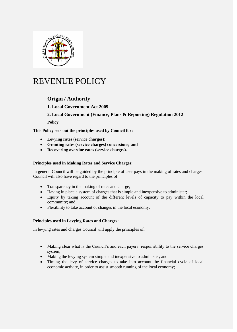

# REVENUE POLICY

# **Origin / Authority**

## **1. Local Government Act 2009**

### **2. Local Government (Finance, Plans & Reporting) Regulation 2012**

**Policy**

**This Policy sets out the principles used by Council for:** 

- **Levying rates (service charges);**
- **Granting rates (service charges) concessions; and**
- **Recovering overdue rates (service charges).**

#### **Principles used in Making Rates and Service Charges:**

In general Council will be guided by the principle of user pays in the making of rates and charges. Council will also have regard to the principles of:

- Transparency in the making of rates and charge;
- Having in place a system of charges that is simple and inexpensive to administer;
- Equity by taking account of the different levels of capacity to pay within the local community; and
- Flexibility to take account of changes in the local economy.

#### **Principles used in Levying Rates and Charges:**

In levying rates and charges Council will apply the principles of:

- Making clear what is the Council's and each payers' responsibility to the service charges system;
- Making the levying system simple and inexpensive to administer; and
- Timing the levy of service charges to take into account the financial cycle of local economic activity, in order to assist smooth running of the local economy;